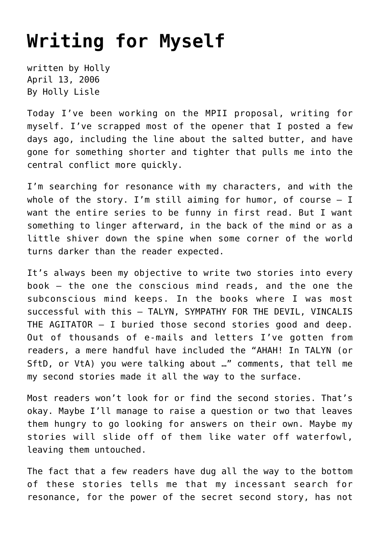## **[Writing for Myself](https://hollylisle.com/writing-for-myself/)**

written by Holly April 13, 2006 [By Holly Lisle](https://hollylisle.com)

Today I've been working on the MPII proposal, writing for myself. I've scrapped most of the opener that I posted a few days ago, including the line about the salted butter, and have gone for something shorter and tighter that pulls me into the central conflict more quickly.

I'm searching for resonance with my characters, and with the whole of the story. I'm still aiming for humor, of course  $-$  I want the entire series to be funny in first read. But I want something to linger afterward, in the back of the mind or as a little shiver down the spine when some corner of the world turns darker than the reader expected.

It's always been my objective to write two stories into every book — the one the conscious mind reads, and the one the subconscious mind keeps. In the books where I was most successful with this — TALYN, SYMPATHY FOR THE DEVIL, VINCALIS THE AGITATOR — I buried those second stories good and deep. Out of thousands of e-mails and letters I've gotten from readers, a mere handful have included the "AHAH! In TALYN (or SftD, or VtA) you were talking about …" comments, that tell me my second stories made it all the way to the surface.

Most readers won't look for or find the second stories. That's okay. Maybe I'll manage to raise a question or two that leaves them hungry to go looking for answers on their own. Maybe my stories will slide off of them like water off waterfowl, leaving them untouched.

The fact that a few readers have dug all the way to the bottom of these stories tells me that my incessant search for resonance, for the power of the secret second story, has not